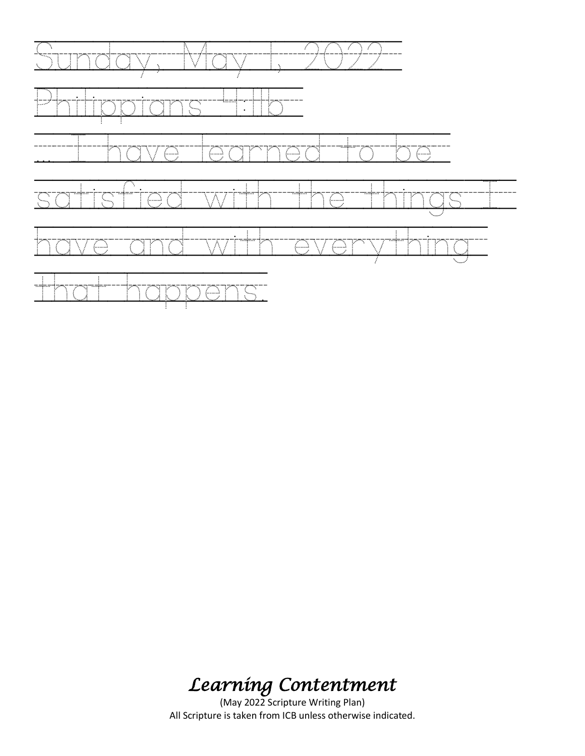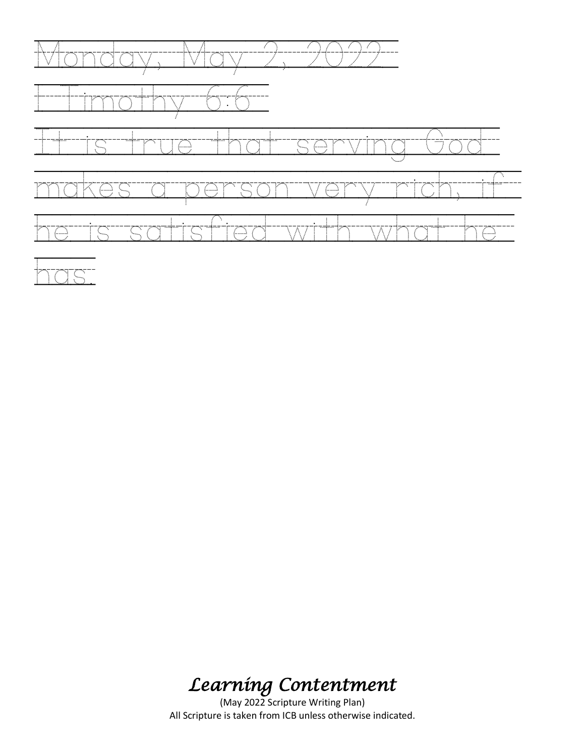

## ia.<br>Internazionale di Santo Carattania e all'antico di Santo Caratta i all'antico di Santo Caratta i all'antico d<br>Internazionale di Santo Caratta i Antonio di Santo Caratta i Antonio di Santo Caratta i Antonio di Santo Car

# *Learning Contentment*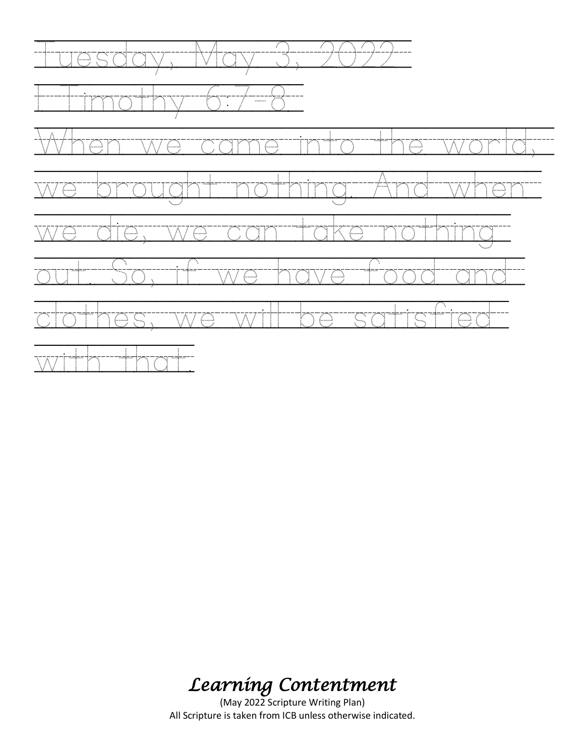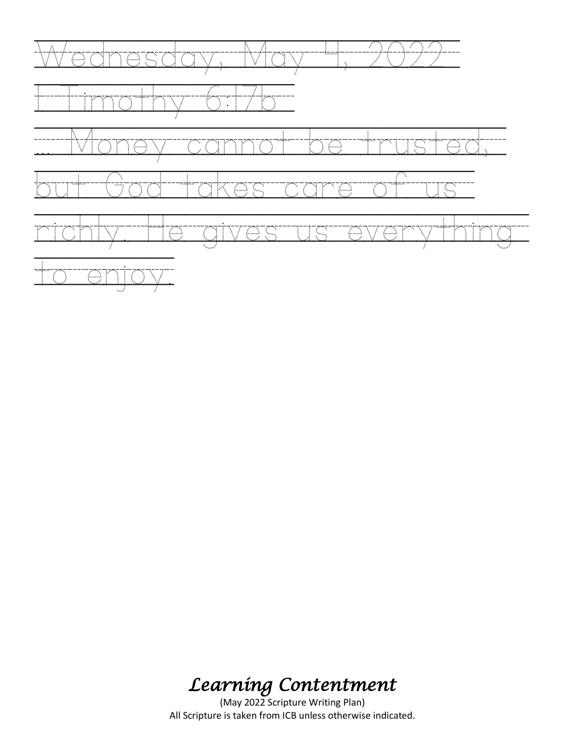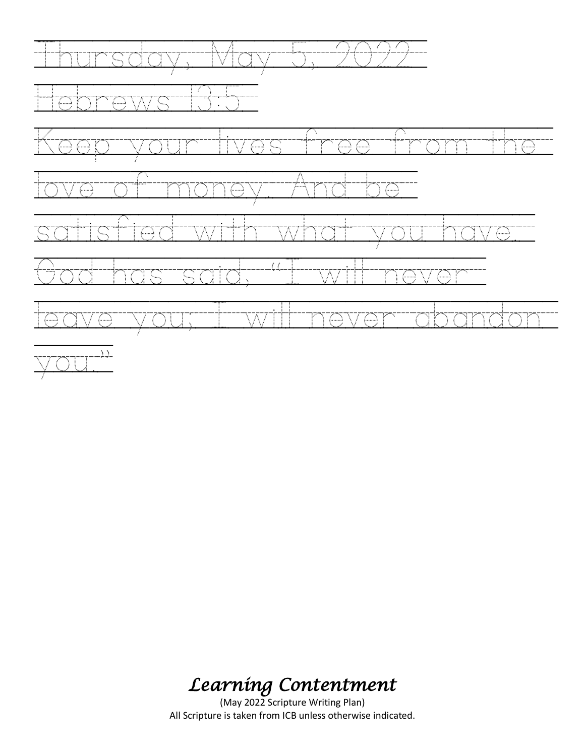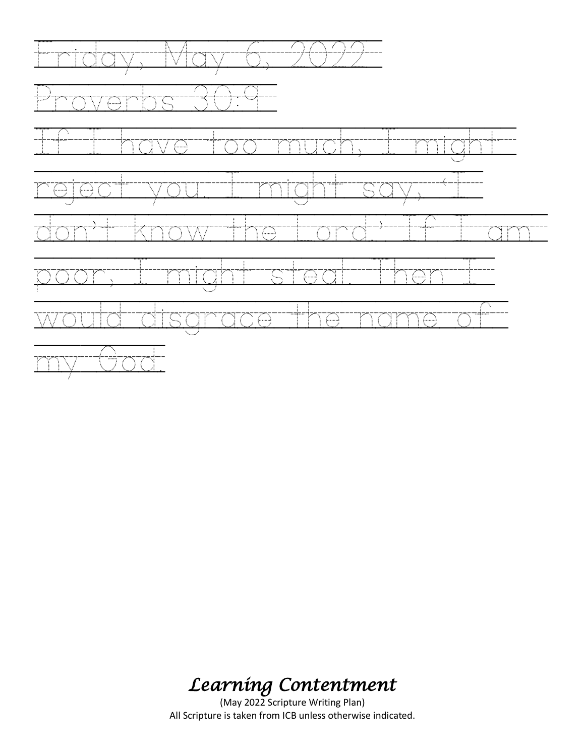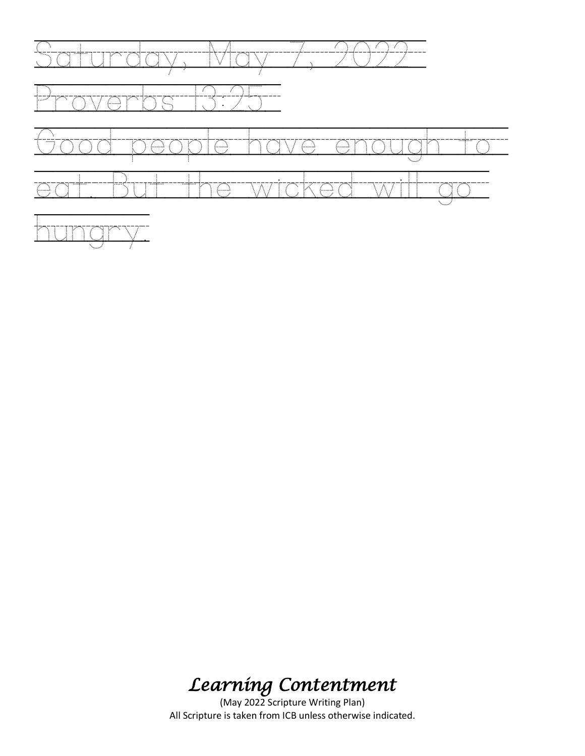

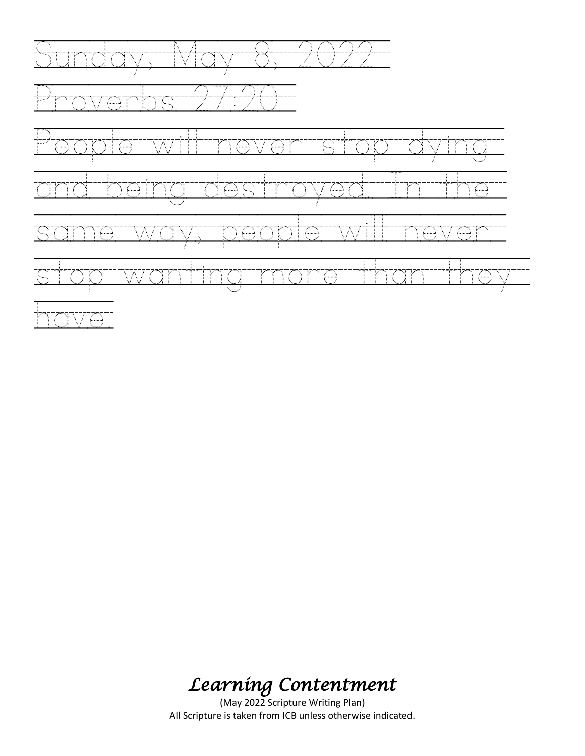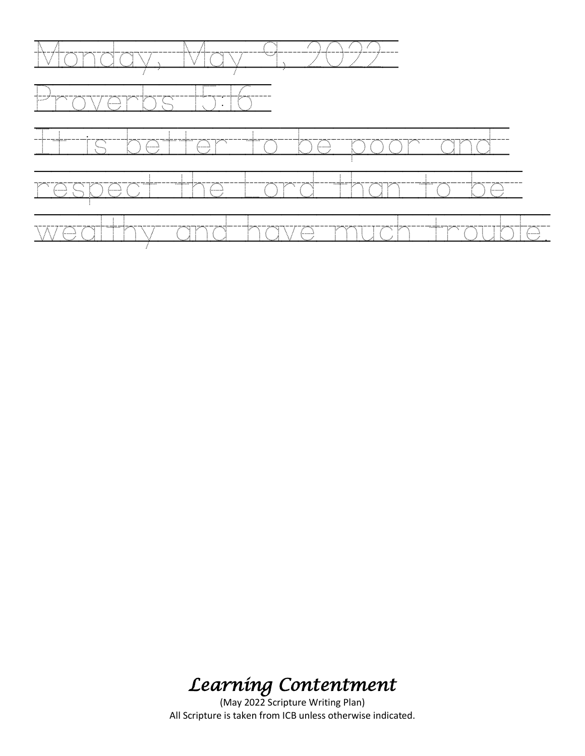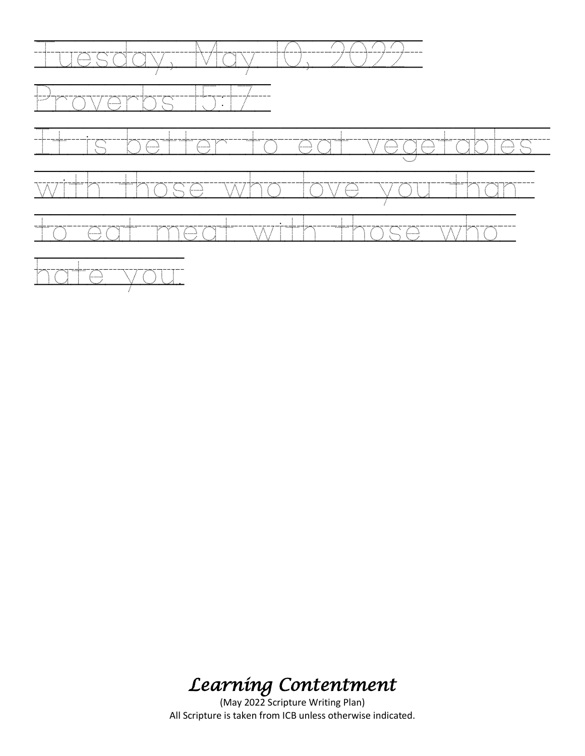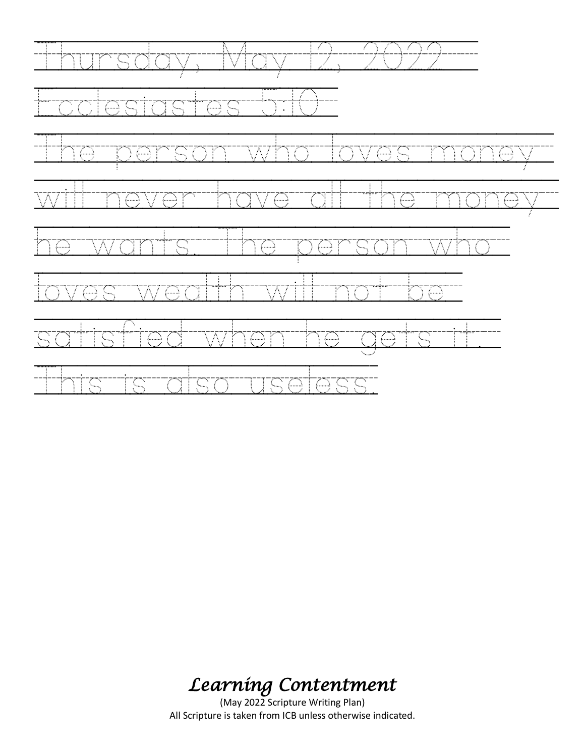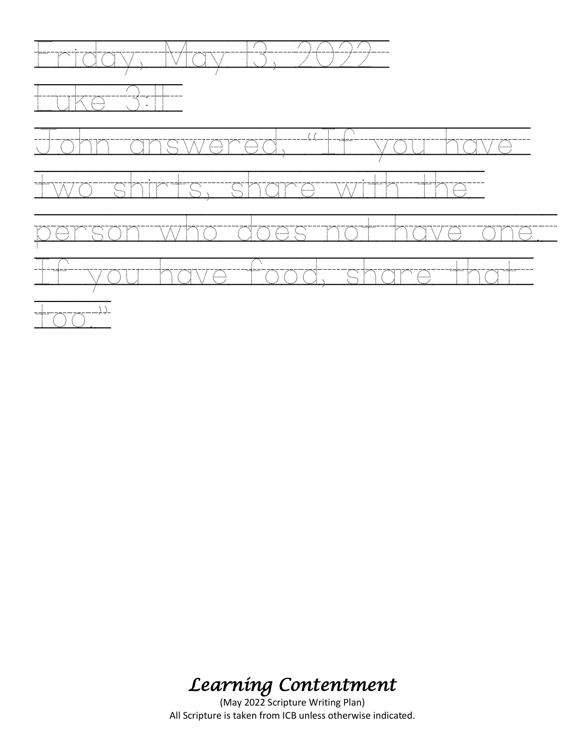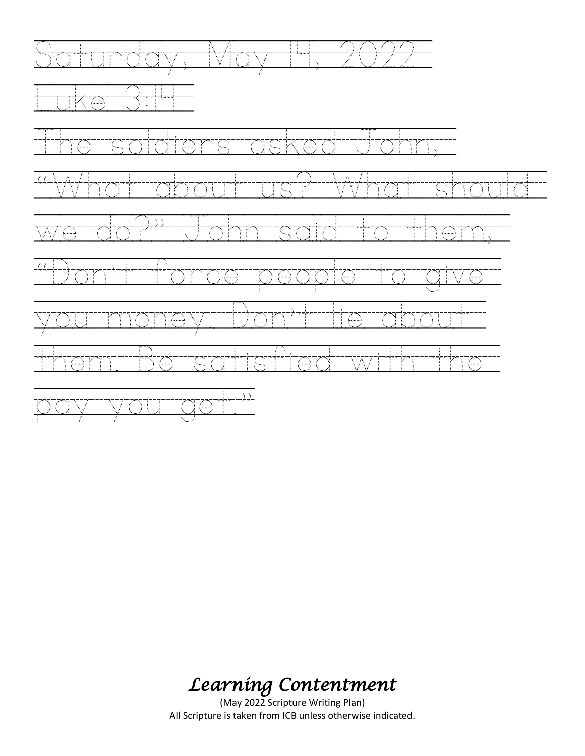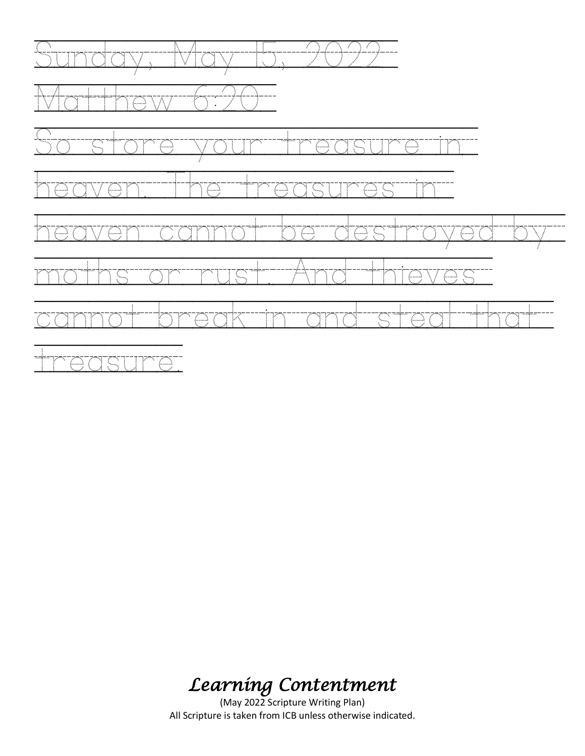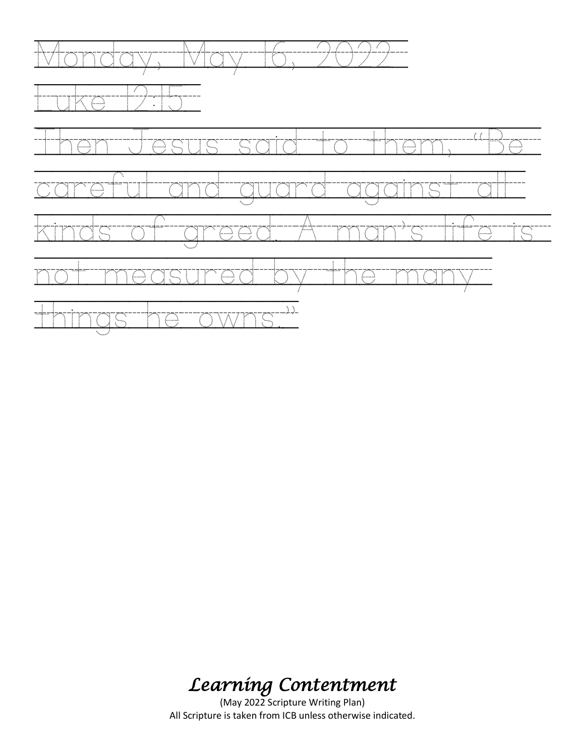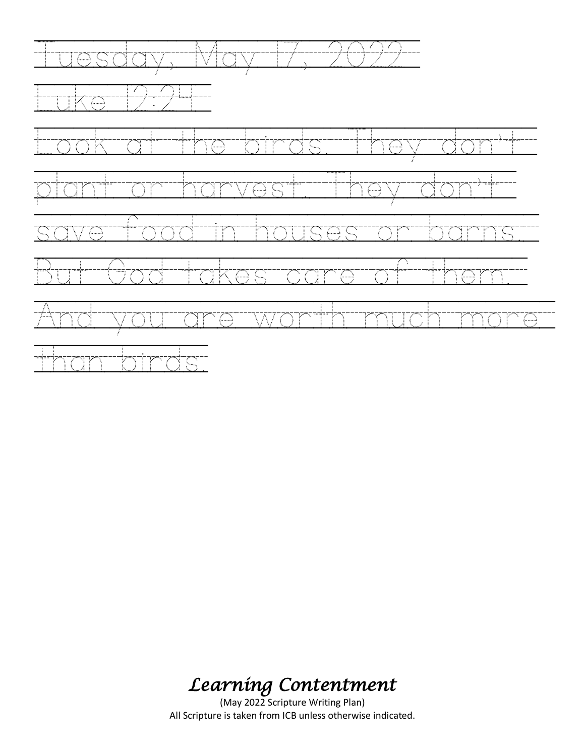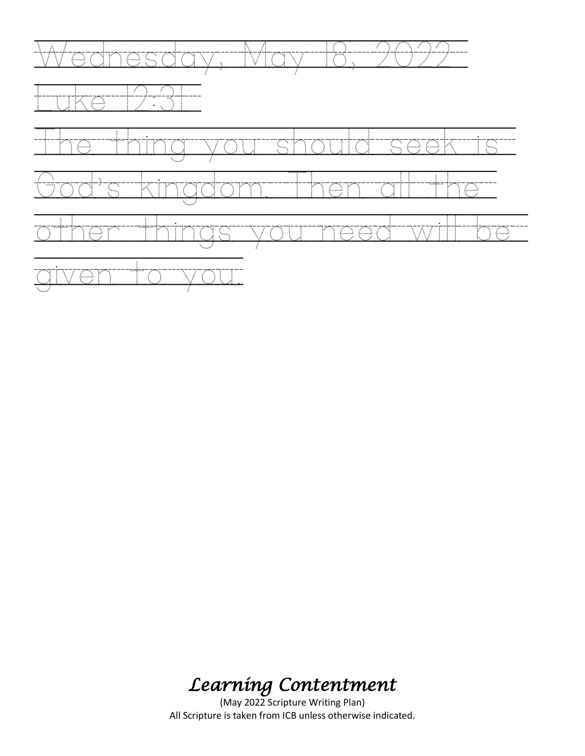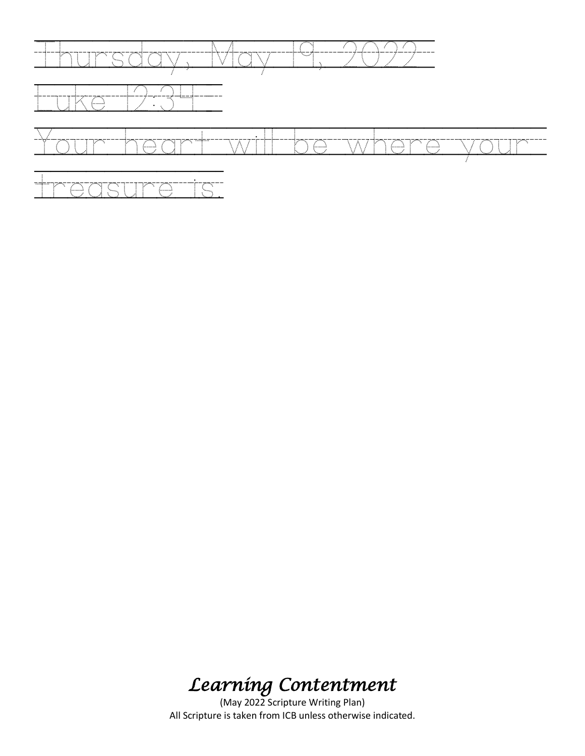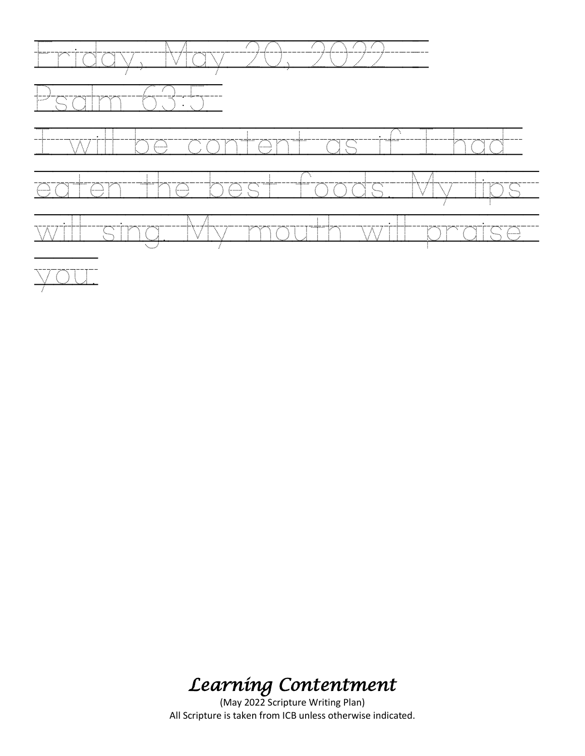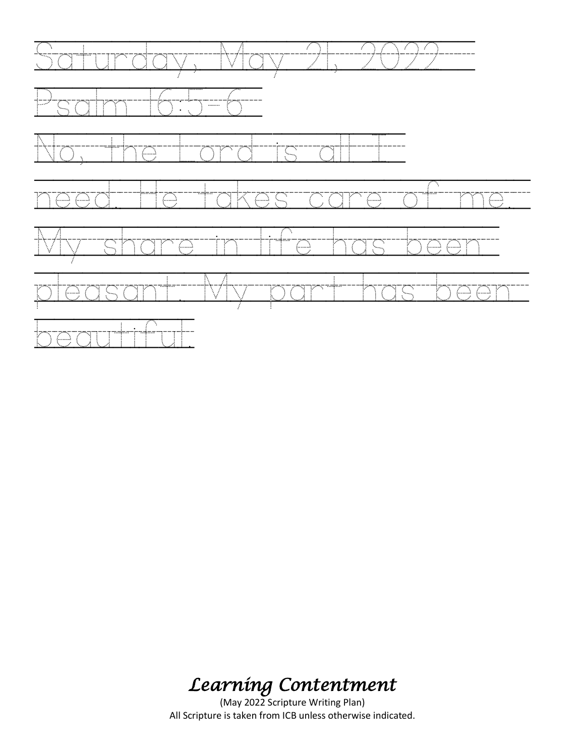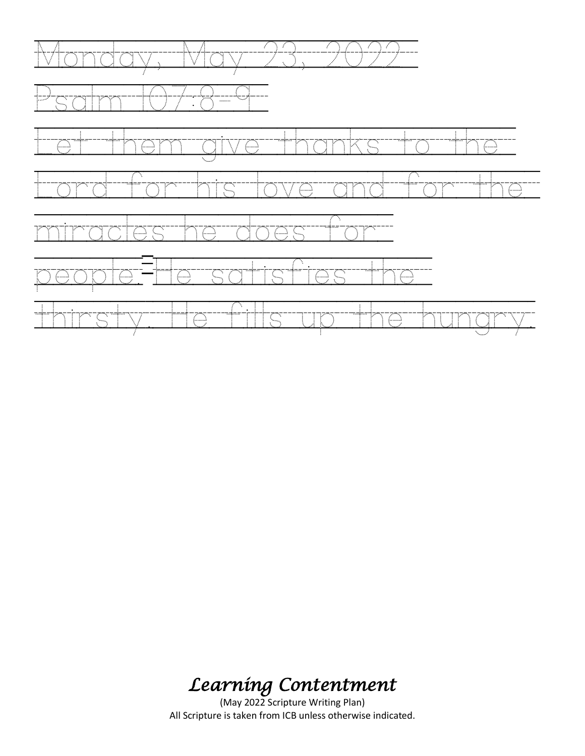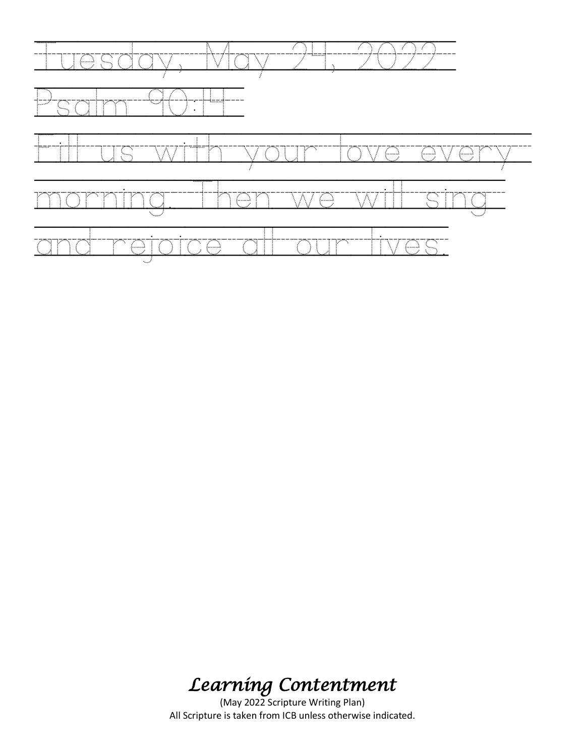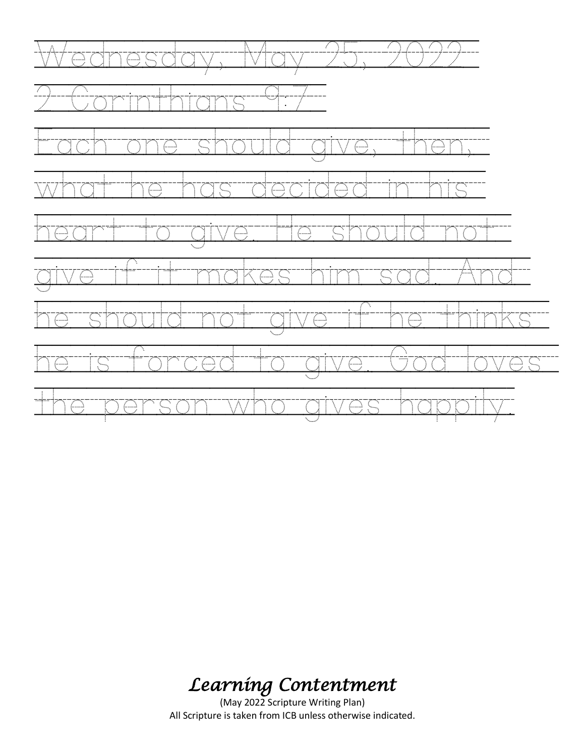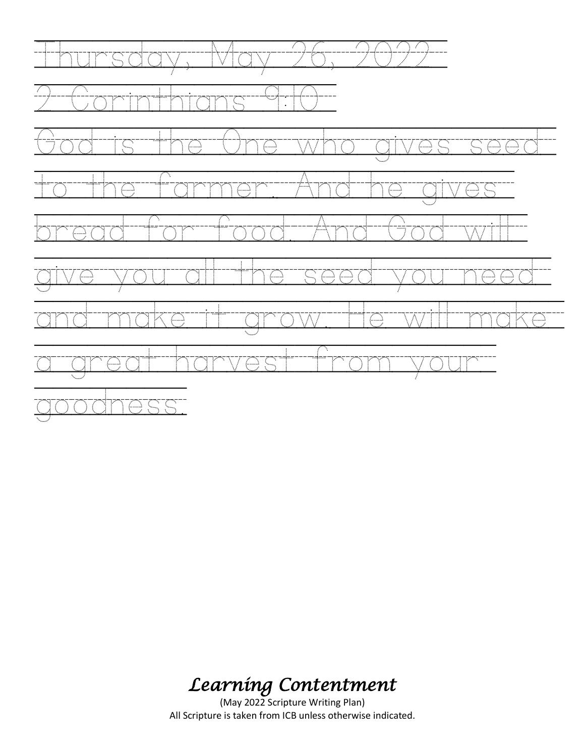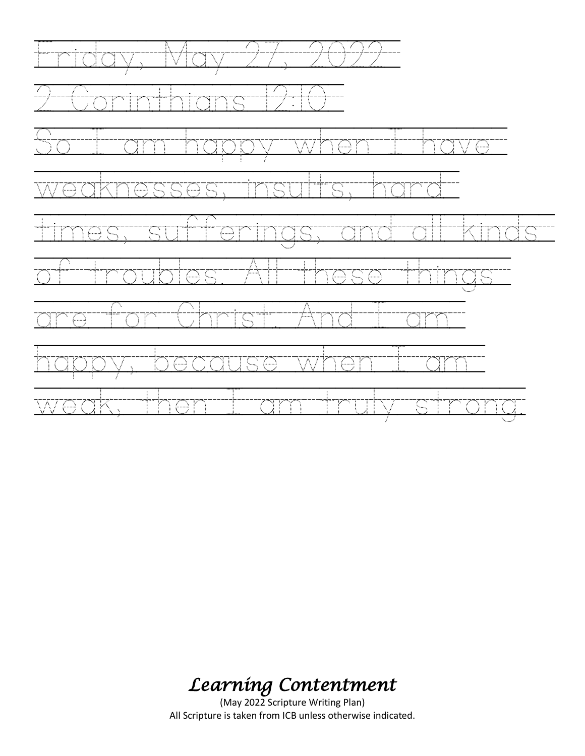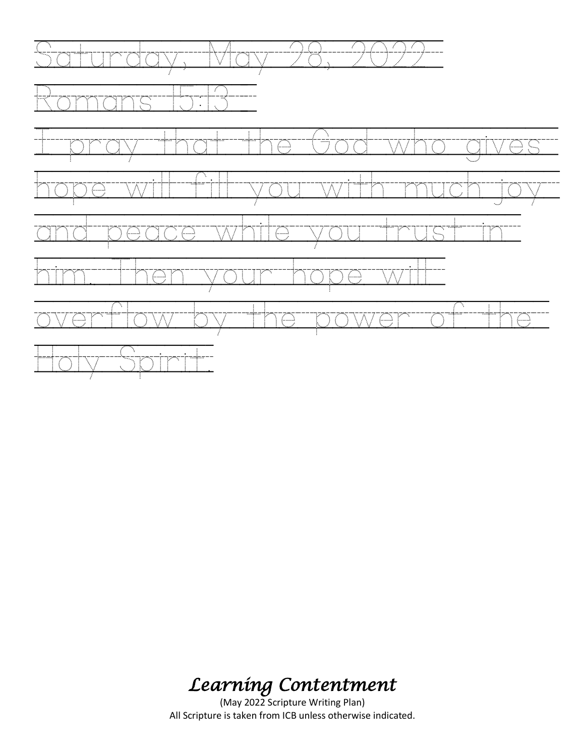

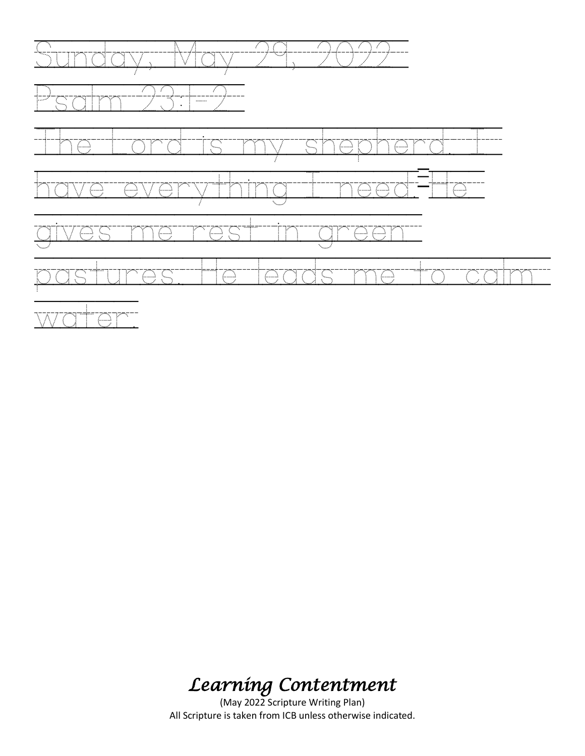